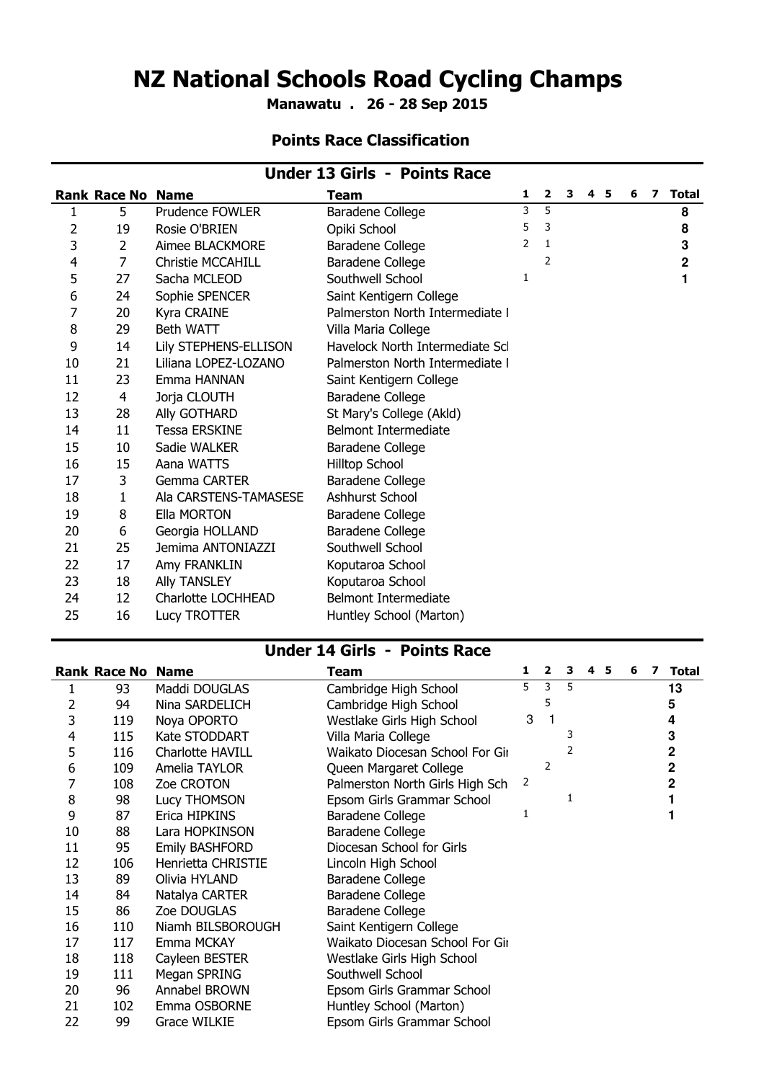## NZ National Schools Road Cycling Champs

Manawatu . 26 - 28 Sep 2015

### Points Race Classification

| <b>Under 13 Girls - Points Race</b> |                          |                                 |   |                |   |  |  |     |   |                |
|-------------------------------------|--------------------------|---------------------------------|---|----------------|---|--|--|-----|---|----------------|
|                                     |                          | Team                            | 1 | $\mathbf{2}$   | 3 |  |  | 6   | 7 | <b>Total</b>   |
| 5                                   | Prudence FOWLER          | Baradene College                | 3 | $\overline{5}$ |   |  |  |     |   | 8              |
| 19                                  | Rosie O'BRIEN            | Opiki School                    | 5 | 3              |   |  |  |     |   | 8              |
| 2                                   | Aimee BLACKMORE          | Baradene College                | 2 | 1              |   |  |  |     |   | 3              |
| 7                                   | <b>Christie MCCAHILL</b> | Baradene College                |   | 2              |   |  |  |     |   | $\overline{2}$ |
| 27                                  | Sacha MCLEOD             | Southwell School                | 1 |                |   |  |  |     |   | 1              |
| 24                                  | Sophie SPENCER           | Saint Kentigern College         |   |                |   |  |  |     |   |                |
| 20                                  | Kyra CRAINE              | Palmerston North Intermediate I |   |                |   |  |  |     |   |                |
| 29                                  | <b>Beth WATT</b>         | Villa Maria College             |   |                |   |  |  |     |   |                |
| 14                                  | Lily STEPHENS-ELLISON    | Havelock North Intermediate Scl |   |                |   |  |  |     |   |                |
| 21                                  | Liliana LOPEZ-LOZANO     | Palmerston North Intermediate I |   |                |   |  |  |     |   |                |
| 23                                  | Emma HANNAN              | Saint Kentigern College         |   |                |   |  |  |     |   |                |
| 4                                   | Jorja CLOUTH             | Baradene College                |   |                |   |  |  |     |   |                |
| 28                                  | Ally GOTHARD             | St Mary's College (Akld)        |   |                |   |  |  |     |   |                |
| 11                                  | <b>Tessa ERSKINE</b>     | <b>Belmont Intermediate</b>     |   |                |   |  |  |     |   |                |
| 10                                  | Sadie WALKER             | Baradene College                |   |                |   |  |  |     |   |                |
| 15                                  | Aana WATTS               | Hilltop School                  |   |                |   |  |  |     |   |                |
| 3                                   | Gemma CARTER             | Baradene College                |   |                |   |  |  |     |   |                |
| 1                                   | Ala CARSTENS-TAMASESE    | Ashhurst School                 |   |                |   |  |  |     |   |                |
| 8                                   | Ella MORTON              | Baradene College                |   |                |   |  |  |     |   |                |
| 6                                   | Georgia HOLLAND          | Baradene College                |   |                |   |  |  |     |   |                |
| 25                                  | Jemima ANTONIAZZI        | Southwell School                |   |                |   |  |  |     |   |                |
| 17                                  | Amy FRANKLIN             | Koputaroa School                |   |                |   |  |  |     |   |                |
| 18                                  | <b>Ally TANSLEY</b>      | Koputaroa School                |   |                |   |  |  |     |   |                |
| 12                                  | Charlotte LOCHHEAD       | <b>Belmont Intermediate</b>     |   |                |   |  |  |     |   |                |
| 16                                  | Lucy TROTTER             | Huntley School (Marton)         |   |                |   |  |  |     |   |                |
|                                     |                          | <b>Rank Race No Name</b>        |   |                |   |  |  | 4 5 |   |                |

#### Under 14 Girls - Points Race

|                | <b>Rank Race No</b> | <b>Name</b>           | Team                            | 1 | 2 | з | 4 | 5 | 6 | 7 | Total |
|----------------|---------------------|-----------------------|---------------------------------|---|---|---|---|---|---|---|-------|
|                | 93                  | Maddi DOUGLAS         | Cambridge High School           | 5 | 3 | 5 |   |   |   |   | 13    |
| 2              | 94                  | Nina SARDELICH        | Cambridge High School           |   | 5 |   |   |   |   |   | 5     |
| 3              | 119                 | Noya OPORTO           | Westlake Girls High School      | 3 |   |   |   |   |   |   | 4     |
| $\overline{4}$ | 115                 | Kate STODDART         | Villa Maria College             |   |   | 3 |   |   |   |   | 3     |
| 5              | 116                 | Charlotte HAVILL      | Waikato Diocesan School For Gir |   |   | 2 |   |   |   |   | 2     |
| 6              | 109                 | Amelia TAYLOR         | Queen Margaret College          |   | 2 |   |   |   |   |   | 2     |
| 7              | 108                 | Zoe CROTON            | Palmerston North Girls High Sch | 2 |   |   |   |   |   |   | 2     |
| 8              | 98                  | Lucy THOMSON          | Epsom Girls Grammar School      |   |   | 1 |   |   |   |   |       |
| 9              | 87                  | Erica HIPKINS         | Baradene College                | 1 |   |   |   |   |   |   |       |
| 10             | 88                  | Lara HOPKINSON        | Baradene College                |   |   |   |   |   |   |   |       |
| 11             | 95                  | <b>Emily BASHFORD</b> | Diocesan School for Girls       |   |   |   |   |   |   |   |       |
| 12             | 106                 | Henrietta CHRISTIE    | Lincoln High School             |   |   |   |   |   |   |   |       |
| 13             | 89                  | Olivia HYLAND         | Baradene College                |   |   |   |   |   |   |   |       |
| 14             | 84                  | Natalya CARTER        | Baradene College                |   |   |   |   |   |   |   |       |
| 15             | 86                  | Zoe DOUGLAS           | Baradene College                |   |   |   |   |   |   |   |       |
| 16             | 110                 | Niamh BILSBOROUGH     | Saint Kentigern College         |   |   |   |   |   |   |   |       |
| 17             | 117                 | Emma MCKAY            | Waikato Diocesan School For Gir |   |   |   |   |   |   |   |       |
| 18             | 118                 | Cayleen BESTER        | Westlake Girls High School      |   |   |   |   |   |   |   |       |
| 19             | 111                 | Megan SPRING          | Southwell School                |   |   |   |   |   |   |   |       |
| 20             | 96                  | Annabel BROWN         | Epsom Girls Grammar School      |   |   |   |   |   |   |   |       |
| 21             | 102                 | Emma OSBORNE          | Huntley School (Marton)         |   |   |   |   |   |   |   |       |
| 22             | 99                  | <b>Grace WILKIE</b>   | Epsom Girls Grammar School      |   |   |   |   |   |   |   |       |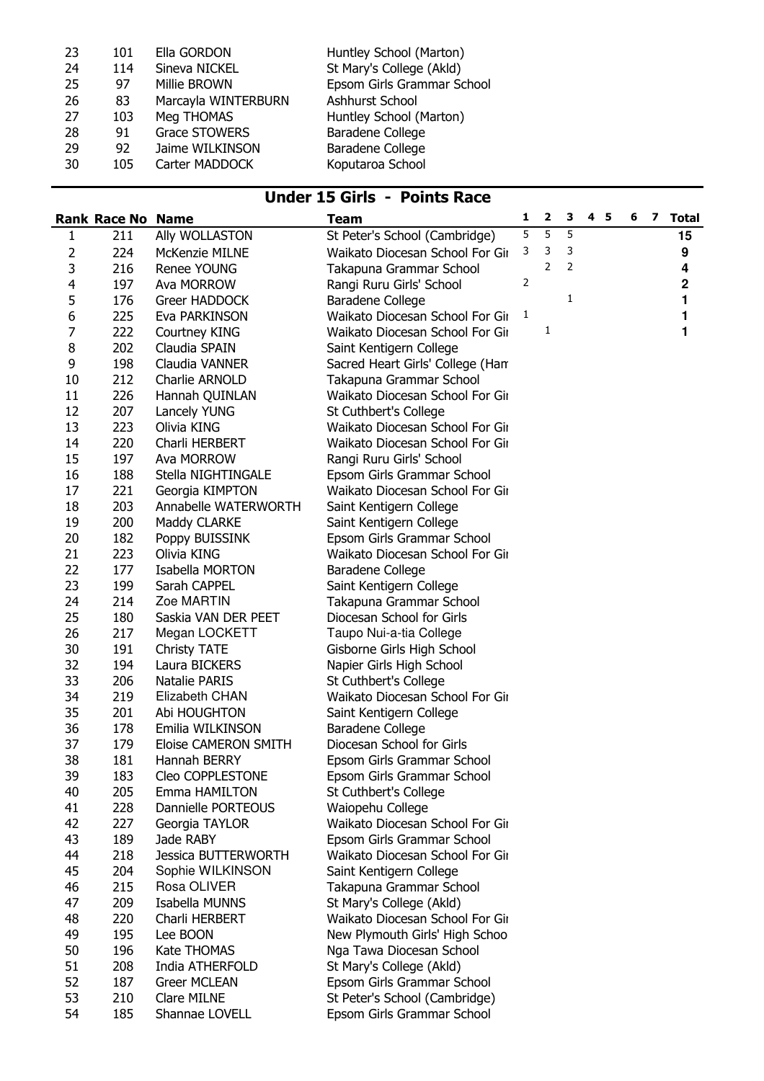| 23 | 101 | Ella GORDON          | Huntley School (Marton)    |
|----|-----|----------------------|----------------------------|
| 24 | 114 | Sineva NICKEL        | St Mary's College (Akld)   |
| 25 | 97  | Millie BROWN         | Epsom Girls Grammar School |
| 26 | 83  | Marcayla WINTERBURN  | Ashhurst School            |
| 27 | 103 | Meg THOMAS           | Huntley School (Marton)    |
| 28 | 91  | <b>Grace STOWERS</b> | Baradene College           |
| 29 | 92  | Jaime WILKINSON      | Baradene College           |
| 30 | 105 | Carter MADDOCK       | Koputaroa School           |
|    |     |                      |                            |

### Under 15 Girls - Points Race

|                         | <b>Rank Race No Name</b> |                                     | Team                                                          | 1 | $\overline{\mathbf{2}}$ | 3 | 4 <sub>5</sub> | 6 | 7 Total     |
|-------------------------|--------------------------|-------------------------------------|---------------------------------------------------------------|---|-------------------------|---|----------------|---|-------------|
| $\mathbf{1}$            | 211                      | Ally WOLLASTON                      | St Peter's School (Cambridge)                                 | 5 | 5                       | 5 |                |   | 15          |
| 2                       | 224                      | McKenzie MILNE                      | Waikato Diocesan School For Gir                               | 3 | 3                       | 3 |                |   | 9           |
| 3                       | 216                      | Renee YOUNG                         | Takapuna Grammar School                                       |   | 2                       | 2 |                |   | 4           |
| $\overline{\mathbf{4}}$ | 197                      | Ava MORROW                          | Rangi Ruru Girls' School                                      | 2 |                         |   |                |   | $\mathbf 2$ |
| 5                       | 176                      | Greer HADDOCK                       | <b>Baradene College</b>                                       |   |                         | 1 |                |   | 1           |
| 6                       | 225                      | Eva PARKINSON                       | Waikato Diocesan School For Gir                               | 1 |                         |   |                |   | 1           |
| 7                       | 222                      | Courtney KING                       | Waikato Diocesan School For Gir                               |   | 1                       |   |                |   | 1           |
| 8                       | 202                      | Claudia SPAIN                       | Saint Kentigern College                                       |   |                         |   |                |   |             |
| 9                       | 198                      | Claudia VANNER                      | Sacred Heart Girls' College (Han                              |   |                         |   |                |   |             |
| 10                      | 212                      | Charlie ARNOLD                      | Takapuna Grammar School                                       |   |                         |   |                |   |             |
| 11                      | 226                      | Hannah QUINLAN                      | Waikato Diocesan School For Gir                               |   |                         |   |                |   |             |
| 12                      | 207                      | Lancely YUNG                        | St Cuthbert's College                                         |   |                         |   |                |   |             |
| 13                      | 223                      | Olivia KING                         | Waikato Diocesan School For Gir                               |   |                         |   |                |   |             |
| 14                      | 220                      | Charli HERBERT                      | Waikato Diocesan School For Gir                               |   |                         |   |                |   |             |
| 15                      | 197                      | Ava MORROW                          | Rangi Ruru Girls' School                                      |   |                         |   |                |   |             |
| 16                      | 188                      | Stella NIGHTINGALE                  | Epsom Girls Grammar School                                    |   |                         |   |                |   |             |
| 17                      | 221                      | Georgia KIMPTON                     | Waikato Diocesan School For Gir                               |   |                         |   |                |   |             |
| 18                      | 203                      | Annabelle WATERWORTH                | Saint Kentigern College                                       |   |                         |   |                |   |             |
| 19                      | 200                      | Maddy CLARKE                        | Saint Kentigern College                                       |   |                         |   |                |   |             |
| 20                      | 182                      | Poppy BUISSINK                      | Epsom Girls Grammar School                                    |   |                         |   |                |   |             |
| 21                      | 223                      | Olivia KING                         | Waikato Diocesan School For Gir                               |   |                         |   |                |   |             |
| 22                      | 177                      | Isabella MORTON                     | Baradene College                                              |   |                         |   |                |   |             |
| 23                      | 199                      | Sarah CAPPEL                        | Saint Kentigern College                                       |   |                         |   |                |   |             |
| 24                      | 214                      | Zoe MARTIN                          | Takapuna Grammar School                                       |   |                         |   |                |   |             |
| 25                      | 180                      | Saskia VAN DER PEET                 | Diocesan School for Girls                                     |   |                         |   |                |   |             |
| 26                      | 217                      | Megan LOCKETT                       | Taupo Nui-a-tia College                                       |   |                         |   |                |   |             |
| 30                      | 191                      | <b>Christy TATE</b>                 | Gisborne Girls High School                                    |   |                         |   |                |   |             |
| 32                      | 194                      | Laura BICKERS                       | Napier Girls High School                                      |   |                         |   |                |   |             |
| 33                      | 206                      | <b>Natalie PARIS</b>                | St Cuthbert's College                                         |   |                         |   |                |   |             |
| 34                      | 219                      | Elizabeth CHAN                      | Waikato Diocesan School For Gir                               |   |                         |   |                |   |             |
| 35                      | 201                      | Abi HOUGHTON                        | Saint Kentigern College                                       |   |                         |   |                |   |             |
| 36                      | 178                      | Emilia WILKINSON                    | Baradene College                                              |   |                         |   |                |   |             |
| 37                      | 179                      | Eloise CAMERON SMITH                | Diocesan School for Girls                                     |   |                         |   |                |   |             |
| 38                      | 181                      | Hannah BERRY                        | Epsom Girls Grammar School                                    |   |                         |   |                |   |             |
| 39                      | 183                      | Cleo COPPLESTONE                    | Epsom Girls Grammar School                                    |   |                         |   |                |   |             |
| 40                      | 205                      | Emma HAMILTON<br>Dannielle PORTEOUS | St Cuthbert's College                                         |   |                         |   |                |   |             |
| 41<br>42                | 228<br>227               |                                     | Waiopehu College<br>Waikato Diocesan School For Gir           |   |                         |   |                |   |             |
| 43                      | 189                      | Georgia TAYLOR<br>Jade RABY         |                                                               |   |                         |   |                |   |             |
| 44                      | 218                      | <b>Jessica BUTTERWORTH</b>          | Epsom Girls Grammar School<br>Waikato Diocesan School For Gir |   |                         |   |                |   |             |
| 45                      | 204                      | Sophie WILKINSON                    | Saint Kentigern College                                       |   |                         |   |                |   |             |
| 46                      | 215                      | Rosa OLIVER                         | Takapuna Grammar School                                       |   |                         |   |                |   |             |
| 47                      | 209                      | Isabella MUNNS                      | St Mary's College (Akld)                                      |   |                         |   |                |   |             |
| 48                      | 220                      | Charli HERBERT                      | Waikato Diocesan School For Gir                               |   |                         |   |                |   |             |
| 49                      | 195                      | Lee BOON                            | New Plymouth Girls' High Schoo                                |   |                         |   |                |   |             |
| 50                      | 196                      | Kate THOMAS                         | Nga Tawa Diocesan School                                      |   |                         |   |                |   |             |
| 51                      | 208                      | India ATHERFOLD                     | St Mary's College (Akld)                                      |   |                         |   |                |   |             |
| 52                      | 187                      | <b>Greer MCLEAN</b>                 | Epsom Girls Grammar School                                    |   |                         |   |                |   |             |
| 53                      | 210                      | <b>Clare MILNE</b>                  | St Peter's School (Cambridge)                                 |   |                         |   |                |   |             |
| 54                      | 185                      | Shannae LOVELL                      | Epsom Girls Grammar School                                    |   |                         |   |                |   |             |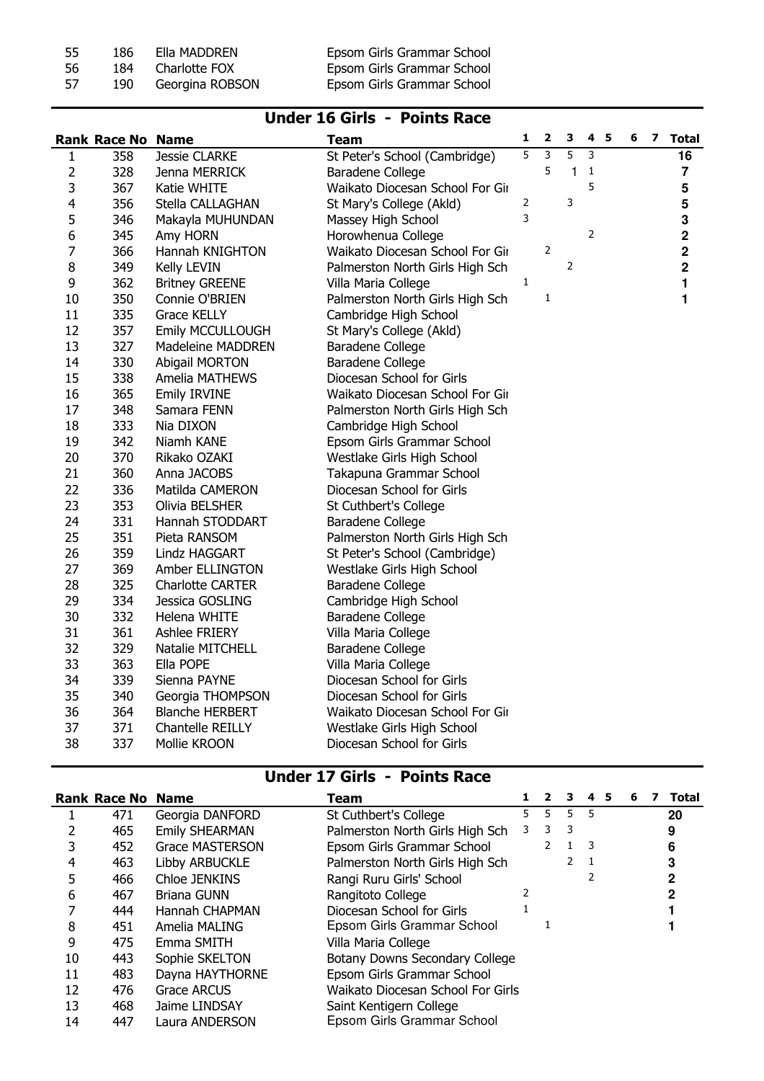| -55 | 186  | Ella MADDREN    | Epsom Girls Grammar School |
|-----|------|-----------------|----------------------------|
| -56 | 184  | Charlotte FOX   | Epsom Girls Grammar School |
| -57 | 190. | Georgina ROBSON | Epsom Girls Grammar School |

#### Under 16 Girls - Points Race

|                | <b>Rank Race No Name</b> |                         | <b>Team</b>                     | 1              | 2 | з            | 4 | - 5 | 6 | 7 | <b>Total</b>   |
|----------------|--------------------------|-------------------------|---------------------------------|----------------|---|--------------|---|-----|---|---|----------------|
| $\mathbf{1}$   | 358                      | <b>Jessie CLARKE</b>    | St Peter's School (Cambridge)   | 5              | 3 | 5            | 3 |     |   |   | 16             |
| 2              | 328                      | Jenna MERRICK           | <b>Baradene College</b>         |                | 5 | $\mathbf{1}$ | 1 |     |   |   | $\overline{7}$ |
| 3              | 367                      | Katie WHITE             | Waikato Diocesan School For Gir |                |   |              | 5 |     |   |   | 5              |
| $\overline{4}$ | 356                      | Stella CALLAGHAN        | St Mary's College (Akld)        | $\overline{2}$ |   | 3            |   |     |   |   | 5              |
| 5              | 346                      | Makayla MUHUNDAN        | Massey High School              | 3              |   |              |   |     |   |   | 3              |
| 6              | 345                      | Amy HORN                | Horowhenua College              |                |   |              | 2 |     |   |   | $\mathbf 2$    |
| $\overline{7}$ | 366                      | Hannah KNIGHTON         | Waikato Diocesan School For Gir |                | 2 |              |   |     |   |   | $\mathbf 2$    |
| 8              | 349                      | Kelly LEVIN             | Palmerston North Girls High Sch |                |   | 2            |   |     |   |   | $\mathbf 2$    |
| 9              | 362                      | <b>Britney GREENE</b>   | Villa Maria College             | $\mathbf 1$    |   |              |   |     |   |   | 1              |
| 10             | 350                      | Connie O'BRIEN          | Palmerston North Girls High Sch |                | 1 |              |   |     |   |   | 1              |
| 11             | 335                      | <b>Grace KELLY</b>      | Cambridge High School           |                |   |              |   |     |   |   |                |
| 12             | 357                      | Emily MCCULLOUGH        | St Mary's College (Akld)        |                |   |              |   |     |   |   |                |
| 13             | 327                      | Madeleine MADDREN       | Baradene College                |                |   |              |   |     |   |   |                |
| 14             | 330                      | <b>Abigail MORTON</b>   | <b>Baradene College</b>         |                |   |              |   |     |   |   |                |
| 15             | 338                      | Amelia MATHEWS          | Diocesan School for Girls       |                |   |              |   |     |   |   |                |
| 16             | 365                      | <b>Emily IRVINE</b>     | Waikato Diocesan School For Gir |                |   |              |   |     |   |   |                |
| 17             | 348                      | Samara FENN             | Palmerston North Girls High Sch |                |   |              |   |     |   |   |                |
| 18             | 333                      | Nia DIXON               | Cambridge High School           |                |   |              |   |     |   |   |                |
| 19             | 342                      | Niamh KANE              | Epsom Girls Grammar School      |                |   |              |   |     |   |   |                |
| 20             | 370                      | Rikako OZAKI            | Westlake Girls High School      |                |   |              |   |     |   |   |                |
| 21             | 360                      | Anna JACOBS             | Takapuna Grammar School         |                |   |              |   |     |   |   |                |
| 22             | 336                      | Matilda CAMERON         | Diocesan School for Girls       |                |   |              |   |     |   |   |                |
| 23             | 353                      | Olivia BELSHER          | St Cuthbert's College           |                |   |              |   |     |   |   |                |
| 24             | 331                      | Hannah STODDART         | Baradene College                |                |   |              |   |     |   |   |                |
| 25             | 351                      | Pieta RANSOM            | Palmerston North Girls High Sch |                |   |              |   |     |   |   |                |
| 26             | 359                      | Lindz HAGGART           | St Peter's School (Cambridge)   |                |   |              |   |     |   |   |                |
| 27             | 369                      | Amber ELLINGTON         | Westlake Girls High School      |                |   |              |   |     |   |   |                |
| 28             | 325                      | <b>Charlotte CARTER</b> | Baradene College                |                |   |              |   |     |   |   |                |
| 29             | 334                      | Jessica GOSLING         | Cambridge High School           |                |   |              |   |     |   |   |                |
| 30             | 332                      | Helena WHITE            | Baradene College                |                |   |              |   |     |   |   |                |
| 31             | 361                      | Ashlee FRIERY           | Villa Maria College             |                |   |              |   |     |   |   |                |
| 32             | 329                      | Natalie MITCHELL        | Baradene College                |                |   |              |   |     |   |   |                |
| 33             | 363                      | Ella POPE               | Villa Maria College             |                |   |              |   |     |   |   |                |
| 34             | 339                      | Sienna PAYNE            | Diocesan School for Girls       |                |   |              |   |     |   |   |                |
| 35             | 340                      | Georgia THOMPSON        | Diocesan School for Girls       |                |   |              |   |     |   |   |                |
| 36             | 364                      | <b>Blanche HERBERT</b>  | Waikato Diocesan School For Gir |                |   |              |   |     |   |   |                |
| 37             | 371                      | Chantelle REILLY        | Westlake Girls High School      |                |   |              |   |     |   |   |                |
| 38             | 337                      | Mollie KROON            | Diocesan School for Girls       |                |   |              |   |     |   |   |                |

### Under 17 Girls - Points Race

|    | <b>Rank Race No Name</b> |                        | Team                              |    | $\mathbf{2}$ | 3            | 4                        | -5 | 6 |  | <b>Total</b> |
|----|--------------------------|------------------------|-----------------------------------|----|--------------|--------------|--------------------------|----|---|--|--------------|
|    | 471                      | Georgia DANFORD        | St Cuthbert's College             | 5. | 5.           | 5.           | 5                        |    |   |  | 20           |
|    | 465                      | <b>Emily SHEARMAN</b>  | Palmerston North Girls High Sch   | 3  | 3            | 3            |                          |    |   |  | 9            |
|    | 452                      | <b>Grace MASTERSON</b> | Epsom Girls Grammar School        |    | 2            | $\mathbf{1}$ | $\overline{\phantom{a}}$ |    |   |  | 6            |
| 4  | 463                      | Libby ARBUCKLE         | Palmerston North Girls High Sch   |    |              |              |                          |    |   |  |              |
| 5  | 466                      | Chloe JENKINS          | Rangi Ruru Girls' School          |    |              |              |                          |    |   |  | 2            |
| 6  | 467                      | Briana GUNN            | Rangitoto College                 |    |              |              |                          |    |   |  |              |
|    | 444                      | Hannah CHAPMAN         | Diocesan School for Girls         |    |              |              |                          |    |   |  |              |
| 8  | 451                      | Amelia MALING          | Epsom Girls Grammar School        |    |              |              |                          |    |   |  |              |
| 9  | 475                      | Emma SMITH             | Villa Maria College               |    |              |              |                          |    |   |  |              |
| 10 | 443                      | Sophie SKELTON         | Botany Downs Secondary College    |    |              |              |                          |    |   |  |              |
| 11 | 483                      | Dayna HAYTHORNE        | Epsom Girls Grammar School        |    |              |              |                          |    |   |  |              |
| 12 | 476                      | Grace ARCUS            | Waikato Diocesan School For Girls |    |              |              |                          |    |   |  |              |
| 13 | 468                      | Jaime LINDSAY          | Saint Kentigern College           |    |              |              |                          |    |   |  |              |
| 14 | 447                      | Laura ANDERSON         | Epsom Girls Grammar School        |    |              |              |                          |    |   |  |              |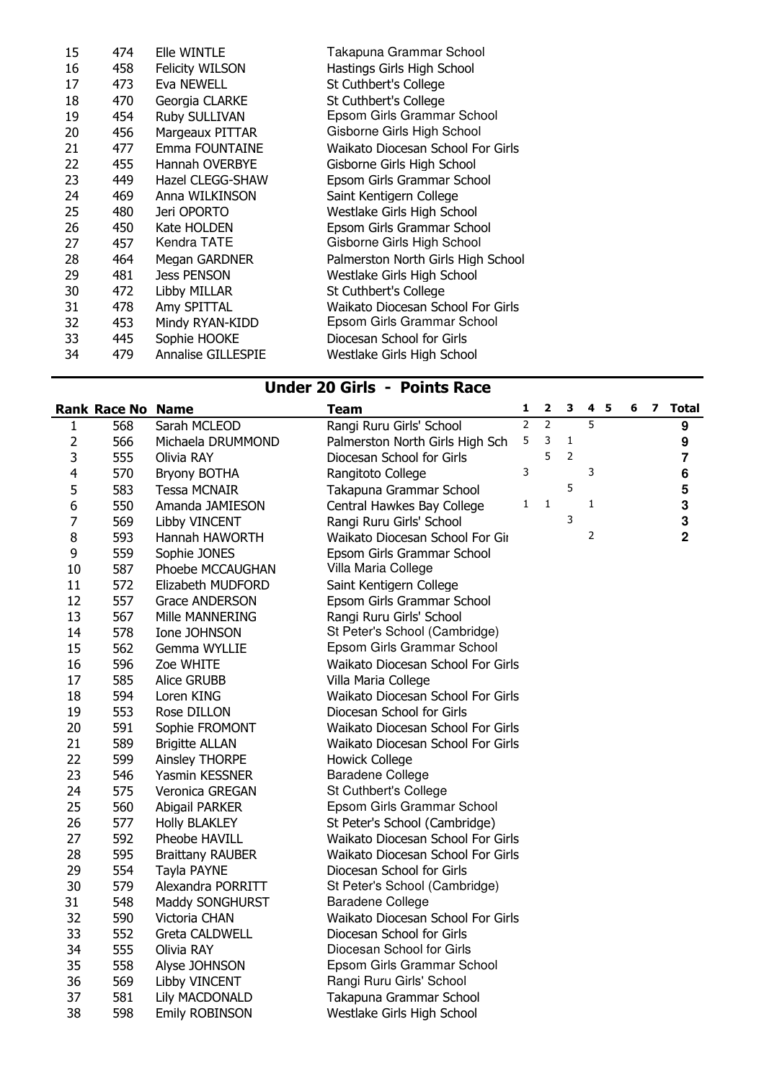| 15 | 474 | Elle WINTLE               | Takapuna Grammar School            |
|----|-----|---------------------------|------------------------------------|
| 16 | 458 | <b>Felicity WILSON</b>    | Hastings Girls High School         |
| 17 | 473 | Eva NEWELL                | St Cuthbert's College              |
| 18 | 470 | Georgia CLARKE            | St Cuthbert's College              |
| 19 | 454 | Ruby SULLIVAN             | Epsom Girls Grammar School         |
| 20 | 456 | Margeaux PITTAR           | Gisborne Girls High School         |
| 21 | 477 | Emma FOUNTAINE            | Waikato Diocesan School For Girls  |
| 22 | 455 | <b>Hannah OVERBYE</b>     | Gisborne Girls High School         |
| 23 | 449 | Hazel CLEGG-SHAW          | Epsom Girls Grammar School         |
| 24 | 469 | Anna WILKINSON            | Saint Kentigern College            |
| 25 | 480 | Jeri OPORTO               | Westlake Girls High School         |
| 26 | 450 | Kate HOLDEN               | Epsom Girls Grammar School         |
| 27 | 457 | Kendra TATE               | Gisborne Girls High School         |
| 28 | 464 | Megan GARDNER             | Palmerston North Girls High School |
| 29 | 481 | <b>Jess PENSON</b>        | Westlake Girls High School         |
| 30 | 472 | Libby MILLAR              | St Cuthbert's College              |
| 31 | 478 | Amy SPITTAL               | Waikato Diocesan School For Girls  |
| 32 | 453 | Mindy RYAN-KIDD           | Epsom Girls Grammar School         |
| 33 | 445 | Sophie HOOKE              | Diocesan School for Girls          |
| 34 | 479 | <b>Annalise GILLESPIE</b> | Westlake Girls High School         |
|    |     |                           |                                    |

### Under 20 Girls - Points Race

|                         | <b>Rank Race No Name</b> |                         | <b>Team</b>                       | 1              | $\overline{\mathbf{2}}$ | 3              | 4 <sub>5</sub> | 6 | 7 | <b>Total</b>            |
|-------------------------|--------------------------|-------------------------|-----------------------------------|----------------|-------------------------|----------------|----------------|---|---|-------------------------|
| 1                       | 568                      | Sarah MCLEOD            | Rangi Ruru Girls' School          | $\overline{2}$ | $\overline{2}$          |                | 5              |   |   | 9                       |
| 2                       | 566                      | Michaela DRUMMOND       | Palmerston North Girls High Sch   | 5              | 3                       | 1              |                |   |   | 9                       |
| 3                       | 555                      | Olivia RAY              | Diocesan School for Girls         |                | 5                       | $\overline{2}$ |                |   |   | $\overline{\mathbf{7}}$ |
| $\overline{\mathbf{4}}$ | 570                      | Bryony BOTHA            | Rangitoto College                 | 3              |                         |                | 3              |   |   | 6                       |
| 5                       | 583                      | <b>Tessa MCNAIR</b>     | Takapuna Grammar School           |                |                         | 5              |                |   |   | 5                       |
| 6                       | 550                      | Amanda JAMIESON         | Central Hawkes Bay College        | 1              | 1                       |                | 1              |   |   | 3                       |
| 7                       | 569                      | Libby VINCENT           | Rangi Ruru Girls' School          |                |                         | 3              |                |   |   | 3                       |
| 8                       | 593                      | Hannah HAWORTH          | Waikato Diocesan School For Gir   |                |                         |                | 2              |   |   | $\overline{2}$          |
| 9                       | 559                      | Sophie JONES            | Epsom Girls Grammar School        |                |                         |                |                |   |   |                         |
| 10                      | 587                      | Phoebe MCCAUGHAN        | Villa Maria College               |                |                         |                |                |   |   |                         |
| 11                      | 572                      | Elizabeth MUDFORD       | Saint Kentigern College           |                |                         |                |                |   |   |                         |
| 12                      | 557                      | <b>Grace ANDERSON</b>   | Epsom Girls Grammar School        |                |                         |                |                |   |   |                         |
| 13                      | 567                      | Mille MANNERING         | Rangi Ruru Girls' School          |                |                         |                |                |   |   |                         |
| 14                      | 578                      | Ione JOHNSON            | St Peter's School (Cambridge)     |                |                         |                |                |   |   |                         |
| 15                      | 562                      | Gemma WYLLIE            | Epsom Girls Grammar School        |                |                         |                |                |   |   |                         |
| 16                      | 596                      | Zoe WHITE               | Waikato Diocesan School For Girls |                |                         |                |                |   |   |                         |
| 17                      | 585                      | Alice GRUBB             | Villa Maria College               |                |                         |                |                |   |   |                         |
| 18                      | 594                      | Loren KING              | Waikato Diocesan School For Girls |                |                         |                |                |   |   |                         |
| 19                      | 553                      | Rose DILLON             | Diocesan School for Girls         |                |                         |                |                |   |   |                         |
| 20                      | 591                      | Sophie FROMONT          | Waikato Diocesan School For Girls |                |                         |                |                |   |   |                         |
| 21                      | 589                      | <b>Brigitte ALLAN</b>   | Waikato Diocesan School For Girls |                |                         |                |                |   |   |                         |
| 22                      | 599                      | Ainsley THORPE          | <b>Howick College</b>             |                |                         |                |                |   |   |                         |
| 23                      | 546                      | Yasmin KESSNER          | <b>Baradene College</b>           |                |                         |                |                |   |   |                         |
| 24                      | 575                      | Veronica GREGAN         | St Cuthbert's College             |                |                         |                |                |   |   |                         |
| 25                      | 560                      | Abigail PARKER          | Epsom Girls Grammar School        |                |                         |                |                |   |   |                         |
| 26                      | 577                      | <b>Holly BLAKLEY</b>    | St Peter's School (Cambridge)     |                |                         |                |                |   |   |                         |
| 27                      | 592                      | Pheobe HAVILL           | Waikato Diocesan School For Girls |                |                         |                |                |   |   |                         |
| 28                      | 595                      | <b>Braittany RAUBER</b> | Waikato Diocesan School For Girls |                |                         |                |                |   |   |                         |
| 29                      | 554                      | Tayla PAYNE             | Diocesan School for Girls         |                |                         |                |                |   |   |                         |
| 30                      | 579                      | Alexandra PORRITT       | St Peter's School (Cambridge)     |                |                         |                |                |   |   |                         |
| 31                      | 548                      | Maddy SONGHURST         | Baradene College                  |                |                         |                |                |   |   |                         |
| 32                      | 590                      | Victoria CHAN           | Waikato Diocesan School For Girls |                |                         |                |                |   |   |                         |
| 33                      | 552                      | <b>Greta CALDWELL</b>   | Diocesan School for Girls         |                |                         |                |                |   |   |                         |
| 34                      | 555                      | Olivia RAY              | Diocesan School for Girls         |                |                         |                |                |   |   |                         |
| 35                      | 558                      | Alyse JOHNSON           | Epsom Girls Grammar School        |                |                         |                |                |   |   |                         |
| 36                      | 569                      | Libby VINCENT           | Rangi Ruru Girls' School          |                |                         |                |                |   |   |                         |
| 37                      | 581                      | Lily MACDONALD          | Takapuna Grammar School           |                |                         |                |                |   |   |                         |
| 38                      | 598                      | <b>Emily ROBINSON</b>   | Westlake Girls High School        |                |                         |                |                |   |   |                         |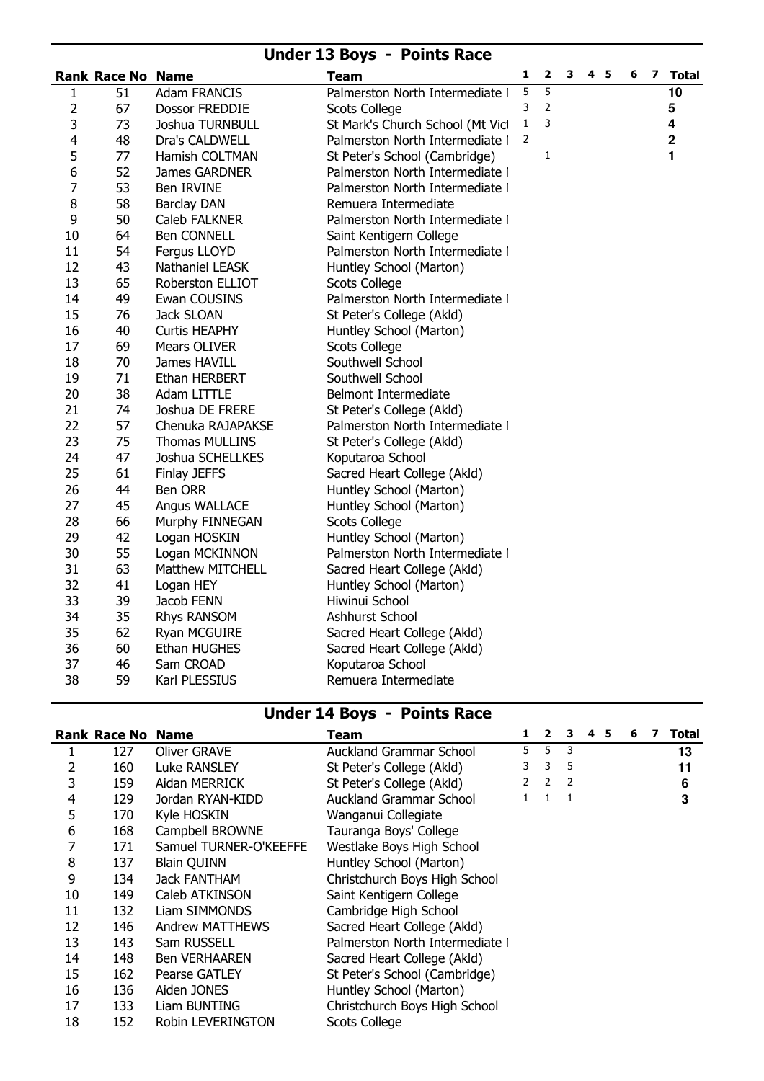#### Under 13 Boys - Points Race

|                | <b>Rank Race No Name</b> |                       | <b>Team</b>                      | 1            | $\overline{\mathbf{2}}$ | 3 | 4 5 | 6 | $\mathbf{z}$ | Total       |
|----------------|--------------------------|-----------------------|----------------------------------|--------------|-------------------------|---|-----|---|--------------|-------------|
| 1              | 51                       | <b>Adam FRANCIS</b>   | Palmerston North Intermediate I  | 5            | 5                       |   |     |   |              | 10          |
| 2              | 67                       | Dossor FREDDIE        | <b>Scots College</b>             | 3            | $\overline{2}$          |   |     |   |              | 5           |
| 3              | 73                       | Joshua TURNBULL       | St Mark's Church School (Mt Vicl | $\mathbf{1}$ | 3                       |   |     |   |              | 4           |
| $\overline{4}$ | 48                       | Dra's CALDWELL        | Palmerston North Intermediate I  | 2            |                         |   |     |   |              | $\mathbf 2$ |
| 5              | 77                       | Hamish COLTMAN        | St Peter's School (Cambridge)    |              | 1                       |   |     |   |              | 1           |
| 6              | 52                       | James GARDNER         | Palmerston North Intermediate I  |              |                         |   |     |   |              |             |
| $\overline{7}$ | 53                       | Ben IRVINE            | Palmerston North Intermediate I  |              |                         |   |     |   |              |             |
| $\bf 8$        | 58                       | <b>Barclay DAN</b>    | Remuera Intermediate             |              |                         |   |     |   |              |             |
| 9              | 50                       | Caleb FALKNER         | Palmerston North Intermediate I  |              |                         |   |     |   |              |             |
| 10             | 64                       | <b>Ben CONNELL</b>    | Saint Kentigern College          |              |                         |   |     |   |              |             |
| 11             | 54                       | Fergus LLOYD          | Palmerston North Intermediate I  |              |                         |   |     |   |              |             |
| 12             | 43                       | Nathaniel LEASK       | Huntley School (Marton)          |              |                         |   |     |   |              |             |
| 13             | 65                       | Roberston ELLIOT      | <b>Scots College</b>             |              |                         |   |     |   |              |             |
| 14             | 49                       | Ewan COUSINS          | Palmerston North Intermediate I  |              |                         |   |     |   |              |             |
| 15             | 76                       | Jack SLOAN            | St Peter's College (Akld)        |              |                         |   |     |   |              |             |
| 16             | 40                       | <b>Curtis HEAPHY</b>  | Huntley School (Marton)          |              |                         |   |     |   |              |             |
| 17             | 69                       | Mears OLIVER          | <b>Scots College</b>             |              |                         |   |     |   |              |             |
| 18             | 70                       | James HAVILL          | Southwell School                 |              |                         |   |     |   |              |             |
| 19             | 71                       | Ethan HERBERT         | Southwell School                 |              |                         |   |     |   |              |             |
| 20             | 38                       | Adam LITTLE           | Belmont Intermediate             |              |                         |   |     |   |              |             |
| 21             | 74                       | Joshua DE FRERE       | St Peter's College (Akld)        |              |                         |   |     |   |              |             |
| 22             | 57                       | Chenuka RAJAPAKSE     | Palmerston North Intermediate I  |              |                         |   |     |   |              |             |
| 23             | 75                       | <b>Thomas MULLINS</b> | St Peter's College (Akld)        |              |                         |   |     |   |              |             |
| 24             | 47                       | Joshua SCHELLKES      | Koputaroa School                 |              |                         |   |     |   |              |             |
| 25             | 61                       | Finlay JEFFS          | Sacred Heart College (Akld)      |              |                         |   |     |   |              |             |
| 26             | 44                       | Ben ORR               | Huntley School (Marton)          |              |                         |   |     |   |              |             |
| 27             | 45                       | Angus WALLACE         | Huntley School (Marton)          |              |                         |   |     |   |              |             |
| 28             | 66                       | Murphy FINNEGAN       | <b>Scots College</b>             |              |                         |   |     |   |              |             |
| 29             | 42                       | Logan HOSKIN          | Huntley School (Marton)          |              |                         |   |     |   |              |             |
| 30             | 55                       | Logan MCKINNON        | Palmerston North Intermediate I  |              |                         |   |     |   |              |             |
| 31             | 63                       | Matthew MITCHELL      | Sacred Heart College (Akld)      |              |                         |   |     |   |              |             |
| 32             | 41                       | Logan HEY             | Huntley School (Marton)          |              |                         |   |     |   |              |             |
| 33             | 39                       | Jacob FENN            | Hiwinui School                   |              |                         |   |     |   |              |             |
| 34             | 35                       | Rhys RANSOM           | Ashhurst School                  |              |                         |   |     |   |              |             |
| 35             | 62                       | Ryan MCGUIRE          | Sacred Heart College (Akld)      |              |                         |   |     |   |              |             |
| 36             | 60                       | Ethan HUGHES          | Sacred Heart College (Akld)      |              |                         |   |     |   |              |             |
| 37             | 46                       | Sam CROAD             | Koputaroa School                 |              |                         |   |     |   |              |             |
| 38             | 59                       | Karl PLESSIUS         | Remuera Intermediate             |              |                         |   |     |   |              |             |

# Under 14 Boys - Points Race

|     |                        | Team                            | 1 | $\overline{2}$ | 3            | 4 | 5 | 6 | 7 | <b>Total</b> |
|-----|------------------------|---------------------------------|---|----------------|--------------|---|---|---|---|--------------|
| 127 | Oliver GRAVE           | Auckland Grammar School         | 5 | 5              | 3            |   |   |   |   | 13           |
| 160 | <b>Luke RANSLEY</b>    | St Peter's College (Akld)       | 3 | 3              | 5            |   |   |   |   | 11           |
| 159 | Aidan MERRICK          | St Peter's College (Akld)       |   | $\overline{2}$ | 2            |   |   |   |   | 6            |
| 129 | Jordan RYAN-KIDD       | Auckland Grammar School         |   | 1              | 1            |   |   |   |   | 3            |
| 170 | Kyle HOSKIN            | Wanganui Collegiate             |   |                |              |   |   |   |   |              |
| 168 | Campbell BROWNE        | Tauranga Boys' College          |   |                |              |   |   |   |   |              |
| 171 | Samuel TURNER-O'KEEFFE | Westlake Boys High School       |   |                |              |   |   |   |   |              |
| 137 | <b>Blain QUINN</b>     | Huntley School (Marton)         |   |                |              |   |   |   |   |              |
| 134 | Jack FANTHAM           | Christchurch Boys High School   |   |                |              |   |   |   |   |              |
| 149 | Caleb ATKINSON         | Saint Kentigern College         |   |                |              |   |   |   |   |              |
| 132 | Liam SIMMONDS          | Cambridge High School           |   |                |              |   |   |   |   |              |
| 146 | <b>Andrew MATTHEWS</b> | Sacred Heart College (Akld)     |   |                |              |   |   |   |   |              |
| 143 | Sam RUSSELL            | Palmerston North Intermediate I |   |                |              |   |   |   |   |              |
| 148 | <b>Ben VERHAAREN</b>   | Sacred Heart College (Akld)     |   |                |              |   |   |   |   |              |
| 162 | Pearse GATLEY          | St Peter's School (Cambridge)   |   |                |              |   |   |   |   |              |
| 136 | Aiden JONES            | Huntley School (Marton)         |   |                |              |   |   |   |   |              |
| 133 | Liam BUNTING           | Christchurch Boys High School   |   |                |              |   |   |   |   |              |
| 152 | Robin LEVERINGTON      | Scots College                   |   |                |              |   |   |   |   |              |
|     |                        | <b>Rank Race No Name</b>        |   |                | $\mathbf{2}$ |   |   |   |   |              |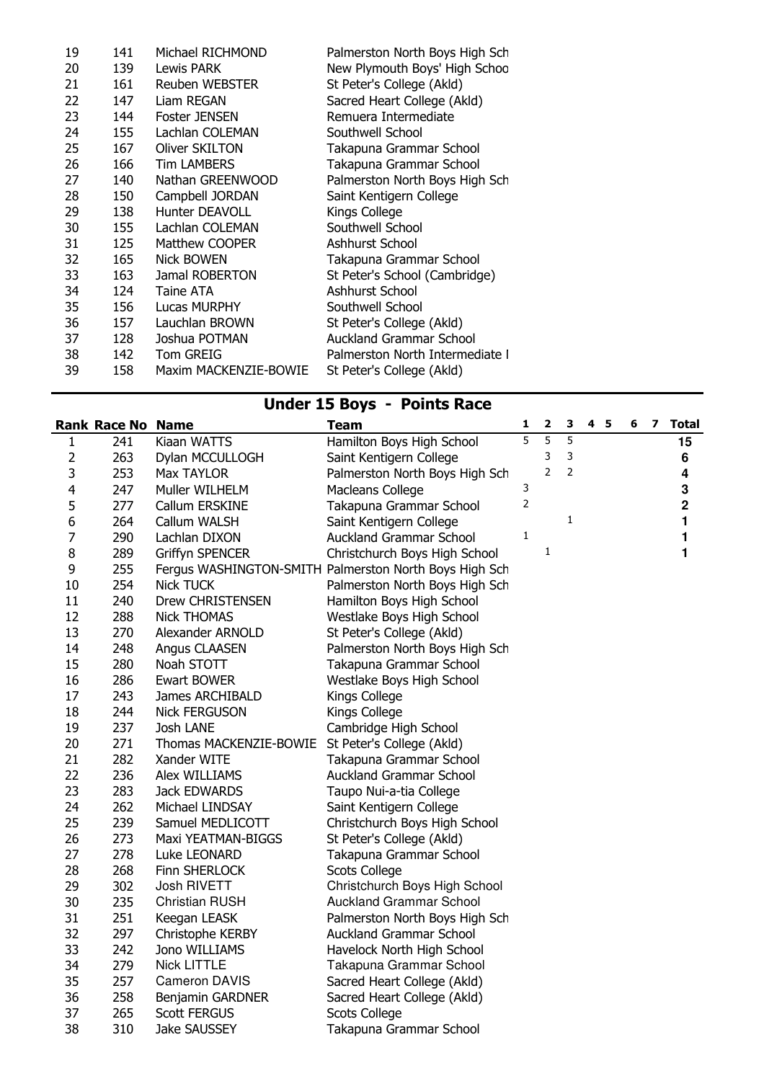| 19 | 141 | Michael RICHMOND      | Palmerston North Boys High Sch  |
|----|-----|-----------------------|---------------------------------|
| 20 | 139 | Lewis PARK            | New Plymouth Boys' High Schoo   |
| 21 | 161 | Reuben WEBSTER        | St Peter's College (Akld)       |
| 22 | 147 | Liam REGAN            | Sacred Heart College (Akld)     |
| 23 | 144 | Foster JENSEN         | Remuera Intermediate            |
| 24 | 155 | Lachlan COLEMAN       | Southwell School                |
| 25 | 167 | Oliver SKILTON        | Takapuna Grammar School         |
| 26 | 166 | <b>Tim LAMBERS</b>    | Takapuna Grammar School         |
| 27 | 140 | Nathan GREENWOOD      | Palmerston North Boys High Sch  |
| 28 | 150 | Campbell JORDAN       | Saint Kentigern College         |
| 29 | 138 | Hunter DEAVOLL        | Kings College                   |
| 30 | 155 | Lachlan COLEMAN       | Southwell School                |
| 31 | 125 | Matthew COOPER        | Ashhurst School                 |
| 32 | 165 | <b>Nick BOWEN</b>     | Takapuna Grammar School         |
| 33 | 163 | Jamal ROBERTON        | St Peter's School (Cambridge)   |
| 34 | 124 | Taine ATA             | Ashhurst School                 |
| 35 | 156 | Lucas MURPHY          | Southwell School                |
| 36 | 157 | Lauchlan BROWN        | St Peter's College (Akld)       |
| 37 | 128 | Joshua POTMAN         | <b>Auckland Grammar School</b>  |
| 38 | 142 | <b>Tom GREIG</b>      | Palmerston North Intermediate I |
| 39 | 158 | Maxim MACKENZIE-BOWIE | St Peter's College (Akld)       |
|    |     |                       |                                 |

# Under 15 Boys - Points Race

|                         | <b>Rank Race No Name</b> |                                                  | <b>Team</b>                                            | $\mathbf{1}$ | $\overline{\mathbf{2}}$ | 3              | 4 <sub>5</sub> | 6 | 7 | <b>Total</b> |
|-------------------------|--------------------------|--------------------------------------------------|--------------------------------------------------------|--------------|-------------------------|----------------|----------------|---|---|--------------|
| 1                       | 241                      | Kiaan WATTS                                      | Hamilton Boys High School                              | 5            | $\overline{5}$          | $\overline{5}$ |                |   |   | 15           |
| $\overline{2}$          | 263                      | Dylan MCCULLOGH                                  | Saint Kentigern College                                |              | 3                       | 3              |                |   |   | 6            |
| 3                       | 253                      | Max TAYLOR                                       | Palmerston North Boys High Sch                         |              | $\overline{2}$          | $\overline{2}$ |                |   |   | 4            |
| $\overline{\mathbf{4}}$ | 247                      | Muller WILHELM                                   | Macleans College                                       | 3            |                         |                |                |   |   | 3            |
| 5                       | 277                      | Callum ERSKINE                                   | Takapuna Grammar School                                | 2            |                         |                |                |   |   | $\mathbf 2$  |
| 6                       | 264                      | Callum WALSH                                     | Saint Kentigern College                                |              |                         | 1              |                |   |   | 1            |
| 7                       | 290                      | Lachlan DIXON                                    | <b>Auckland Grammar School</b>                         | $\mathbf 1$  |                         |                |                |   |   | 1            |
| 8                       | 289                      | Griffyn SPENCER                                  | Christchurch Boys High School                          |              | 1                       |                |                |   |   | 1            |
| 9                       | 255                      |                                                  | Fergus WASHINGTON-SMITH Palmerston North Boys High Sch |              |                         |                |                |   |   |              |
| 10                      | 254                      | <b>Nick TUCK</b>                                 | Palmerston North Boys High Sch                         |              |                         |                |                |   |   |              |
| 11                      | 240                      | Drew CHRISTENSEN                                 | Hamilton Boys High School                              |              |                         |                |                |   |   |              |
| 12                      | 288                      | <b>Nick THOMAS</b>                               | Westlake Boys High School                              |              |                         |                |                |   |   |              |
| 13                      | 270                      | Alexander ARNOLD                                 | St Peter's College (Akld)                              |              |                         |                |                |   |   |              |
| 14                      | 248                      | Angus CLAASEN                                    | Palmerston North Boys High Sch                         |              |                         |                |                |   |   |              |
| 15                      | 280                      | Noah STOTT                                       | Takapuna Grammar School                                |              |                         |                |                |   |   |              |
| 16                      | 286                      | <b>Ewart BOWER</b>                               | Westlake Boys High School                              |              |                         |                |                |   |   |              |
| 17                      | 243                      | James ARCHIBALD                                  | Kings College                                          |              |                         |                |                |   |   |              |
| 18                      | 244                      | <b>Nick FERGUSON</b>                             | Kings College                                          |              |                         |                |                |   |   |              |
| 19                      | 237                      | Josh LANE                                        | Cambridge High School                                  |              |                         |                |                |   |   |              |
| 20                      | 271                      | Thomas MACKENZIE-BOWIE St Peter's College (Akld) |                                                        |              |                         |                |                |   |   |              |
| 21                      | 282                      | Xander WITE                                      | Takapuna Grammar School                                |              |                         |                |                |   |   |              |
| 22                      | 236                      | Alex WILLIAMS                                    | <b>Auckland Grammar School</b>                         |              |                         |                |                |   |   |              |
| 23                      | 283                      | Jack EDWARDS                                     | Taupo Nui-a-tia College                                |              |                         |                |                |   |   |              |
| 24                      | 262                      | Michael LINDSAY                                  | Saint Kentigern College                                |              |                         |                |                |   |   |              |
| 25                      | 239                      | Samuel MEDLICOTT                                 | Christchurch Boys High School                          |              |                         |                |                |   |   |              |
| 26                      | 273                      | Maxi YEATMAN-BIGGS                               | St Peter's College (Akld)                              |              |                         |                |                |   |   |              |
| 27                      | 278                      | Luke LEONARD                                     | Takapuna Grammar School                                |              |                         |                |                |   |   |              |
| 28                      | 268                      | Finn SHERLOCK                                    | <b>Scots College</b>                                   |              |                         |                |                |   |   |              |
| 29                      | 302                      | Josh RIVETT                                      | Christchurch Boys High School                          |              |                         |                |                |   |   |              |
| 30                      | 235                      | <b>Christian RUSH</b>                            | <b>Auckland Grammar School</b>                         |              |                         |                |                |   |   |              |
| 31                      | 251                      | Keegan LEASK                                     | Palmerston North Boys High Sch                         |              |                         |                |                |   |   |              |
| 32                      | 297                      | Christophe KERBY                                 | <b>Auckland Grammar School</b>                         |              |                         |                |                |   |   |              |
| 33                      | 242                      | Jono WILLIAMS                                    | Havelock North High School                             |              |                         |                |                |   |   |              |
| 34                      | 279                      | <b>Nick LITTLE</b>                               | Takapuna Grammar School                                |              |                         |                |                |   |   |              |
| 35                      | 257                      | <b>Cameron DAVIS</b>                             | Sacred Heart College (Akld)                            |              |                         |                |                |   |   |              |
| 36                      | 258                      | Benjamin GARDNER                                 | Sacred Heart College (Akld)                            |              |                         |                |                |   |   |              |
| 37                      | 265                      | <b>Scott FERGUS</b>                              | <b>Scots College</b>                                   |              |                         |                |                |   |   |              |
| 38                      | 310                      | <b>Jake SAUSSEY</b>                              | Takapuna Grammar School                                |              |                         |                |                |   |   |              |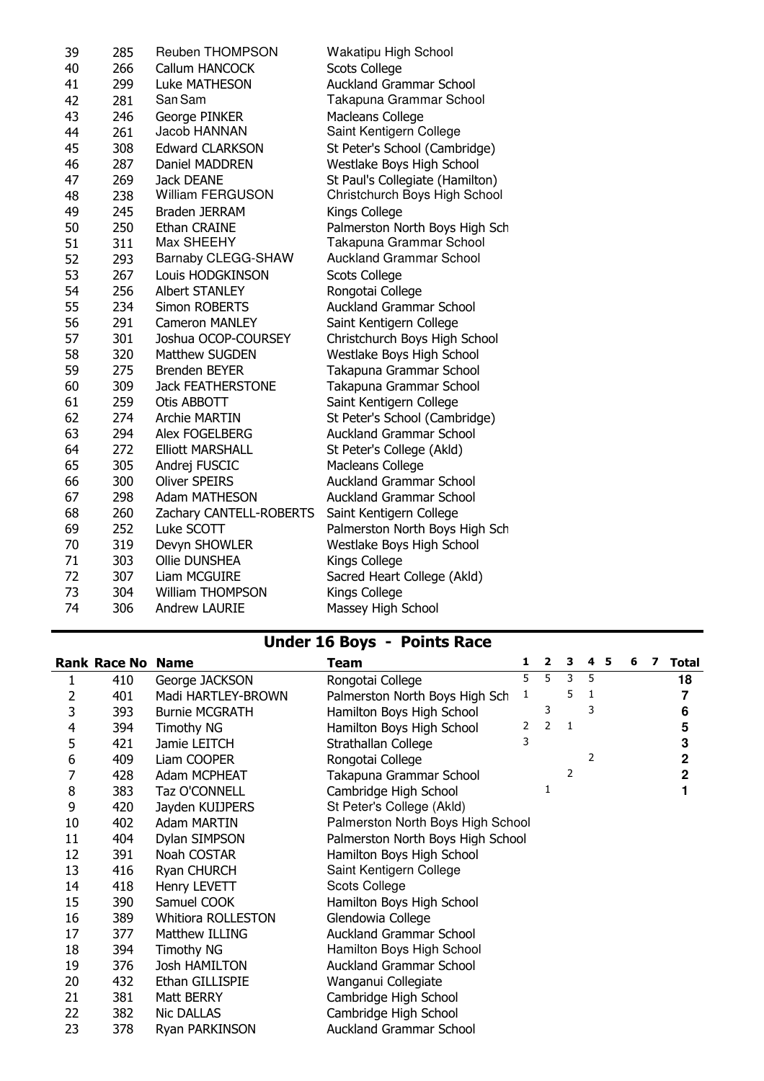| 39 | 285 | <b>Reuben THOMPSON</b>    | Wakatipu High School            |
|----|-----|---------------------------|---------------------------------|
| 40 | 266 | Callum HANCOCK            | <b>Scots College</b>            |
| 41 | 299 | Luke MATHESON             | <b>Auckland Grammar School</b>  |
| 42 | 281 | San Sam                   | Takapuna Grammar School         |
| 43 | 246 | George PINKER             | Macleans College                |
| 44 | 261 | Jacob HANNAN              | Saint Kentigern College         |
| 45 | 308 | <b>Edward CLARKSON</b>    | St Peter's School (Cambridge)   |
| 46 | 287 | Daniel MADDREN            | Westlake Boys High School       |
| 47 | 269 | Jack DEANE                | St Paul's Collegiate (Hamilton) |
| 48 | 238 | <b>William FERGUSON</b>   | Christchurch Boys High School   |
| 49 | 245 | Braden JERRAM             | Kings College                   |
| 50 | 250 | Ethan CRAINE              | Palmerston North Boys High Sch  |
| 51 | 311 | Max SHEEHY                | Takapuna Grammar School         |
| 52 | 293 | <b>Barnaby CLEGG-SHAW</b> | <b>Auckland Grammar School</b>  |
| 53 | 267 | Louis HODGKINSON          | <b>Scots College</b>            |
| 54 | 256 | <b>Albert STANLEY</b>     | Rongotai College                |
| 55 | 234 | <b>Simon ROBERTS</b>      | <b>Auckland Grammar School</b>  |
| 56 | 291 | <b>Cameron MANLEY</b>     | Saint Kentigern College         |
| 57 | 301 | Joshua OCOP-COURSEY       | Christchurch Boys High School   |
| 58 | 320 | Matthew SUGDEN            | Westlake Boys High School       |
| 59 | 275 | Brenden BEYER             | Takapuna Grammar School         |
| 60 | 309 | <b>Jack FEATHERSTONE</b>  | Takapuna Grammar School         |
| 61 | 259 | Otis ABBOTT               | Saint Kentigern College         |
| 62 | 274 | <b>Archie MARTIN</b>      | St Peter's School (Cambridge)   |
| 63 | 294 | Alex FOGELBERG            | <b>Auckland Grammar School</b>  |
| 64 | 272 | <b>Elliott MARSHALL</b>   | St Peter's College (Akld)       |
| 65 | 305 | Andrej FUSCIC             | Macleans College                |
| 66 | 300 | <b>Oliver SPEIRS</b>      | <b>Auckland Grammar School</b>  |
| 67 | 298 | <b>Adam MATHESON</b>      | <b>Auckland Grammar School</b>  |
| 68 | 260 | Zachary CANTELL-ROBERTS   | Saint Kentigern College         |
| 69 | 252 | Luke SCOTT                | Palmerston North Boys High Sch  |
| 70 | 319 | Devyn SHOWLER             | Westlake Boys High School       |
| 71 | 303 | Ollie DUNSHEA             | Kings College                   |
| 72 | 307 | Liam MCGUIRE              | Sacred Heart College (Akld)     |
| 73 | 304 | <b>William THOMPSON</b>   | Kings College                   |
| 74 | 306 | <b>Andrew LAURIE</b>      | Massey High School              |
|    |     |                           |                                 |

## Under 16 Boys - Points Race

|    | <b>Rank Race No Name</b> |                           | <b>Team</b>                       | 1 | $\overline{2}$ | 3 | 4 | 5 | 6 | 7 | <b>Total</b> |
|----|--------------------------|---------------------------|-----------------------------------|---|----------------|---|---|---|---|---|--------------|
|    | 410                      | George JACKSON            | Rongotai College                  | 5 | 5              | 3 | 5 |   |   |   | 18           |
| 2  | 401                      | Madi HARTLEY-BROWN        | Palmerston North Boys High Sch    | 1 |                | 5 | 1 |   |   |   |              |
| 3  | 393                      | <b>Burnie MCGRATH</b>     | Hamilton Boys High School         |   | 3              |   | 3 |   |   |   | 6            |
| 4  | 394                      | <b>Timothy NG</b>         | Hamilton Boys High School         | 2 | $\overline{2}$ | 1 |   |   |   |   | 5            |
| 5  | 421                      | Jamie LEITCH              | Strathallan College               | 3 |                |   |   |   |   |   | 3            |
| 6  | 409                      | Liam COOPER               | Rongotai College                  |   |                |   | 2 |   |   |   | 2            |
| 7  | 428                      | Adam MCPHEAT              | Takapuna Grammar School           |   |                | 2 |   |   |   |   | 2            |
| 8  | 383                      | Taz O'CONNELL             | Cambridge High School             |   | 1              |   |   |   |   |   |              |
| 9  | 420                      | Jayden KUIJPERS           | St Peter's College (Akld)         |   |                |   |   |   |   |   |              |
| 10 | 402                      | <b>Adam MARTIN</b>        | Palmerston North Boys High School |   |                |   |   |   |   |   |              |
| 11 | 404                      | Dylan SIMPSON             | Palmerston North Boys High School |   |                |   |   |   |   |   |              |
| 12 | 391                      | Noah COSTAR               | Hamilton Boys High School         |   |                |   |   |   |   |   |              |
| 13 | 416                      | Ryan CHURCH               | Saint Kentigern College           |   |                |   |   |   |   |   |              |
| 14 | 418                      | Henry LEVETT              | Scots College                     |   |                |   |   |   |   |   |              |
| 15 | 390                      | Samuel COOK               | Hamilton Boys High School         |   |                |   |   |   |   |   |              |
| 16 | 389                      | <b>Whitiora ROLLESTON</b> | Glendowia College                 |   |                |   |   |   |   |   |              |
| 17 | 377                      | Matthew ILLING            | <b>Auckland Grammar School</b>    |   |                |   |   |   |   |   |              |
| 18 | 394                      | <b>Timothy NG</b>         | Hamilton Boys High School         |   |                |   |   |   |   |   |              |
| 19 | 376                      | Josh HAMILTON             | <b>Auckland Grammar School</b>    |   |                |   |   |   |   |   |              |
| 20 | 432                      | Ethan GILLISPIE           | Wanganui Collegiate               |   |                |   |   |   |   |   |              |
| 21 | 381                      | Matt BERRY                | Cambridge High School             |   |                |   |   |   |   |   |              |
| 22 | 382                      | <b>Nic DALLAS</b>         | Cambridge High School             |   |                |   |   |   |   |   |              |
| 23 | 378                      | Ryan PARKINSON            | <b>Auckland Grammar School</b>    |   |                |   |   |   |   |   |              |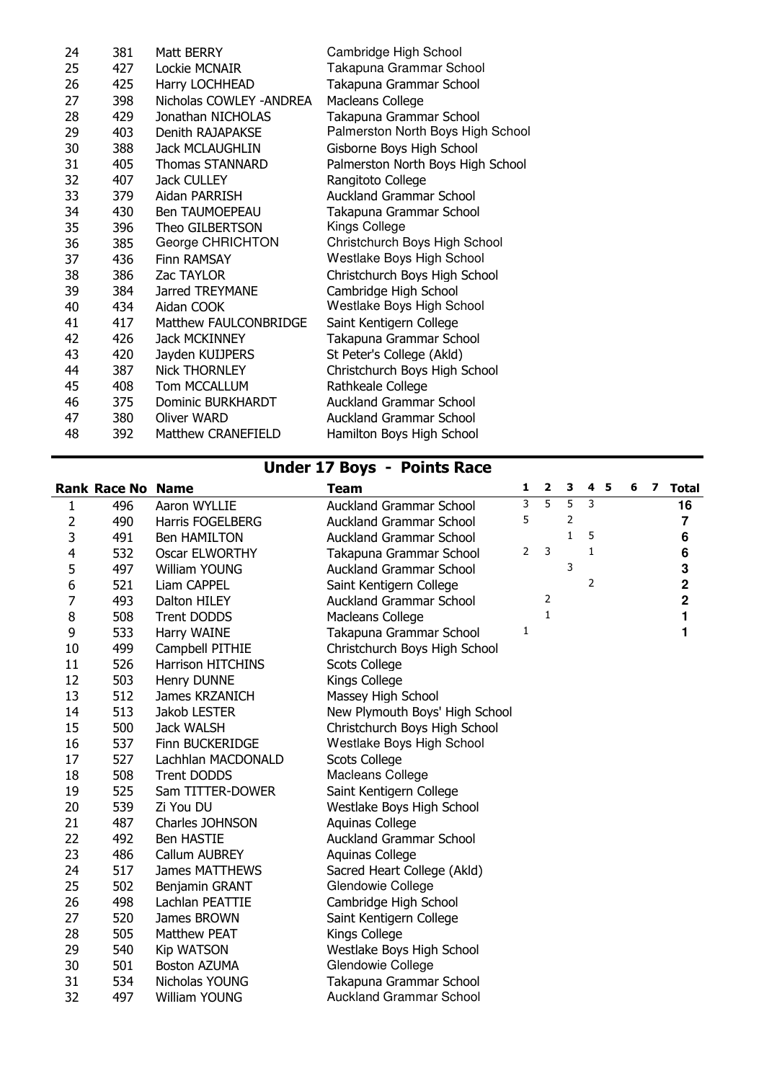| 24 | 381 | Matt BERRY               | Cambridge High School             |
|----|-----|--------------------------|-----------------------------------|
| 25 | 427 | Lockie MCNAIR            | Takapuna Grammar School           |
| 26 | 425 | Harry LOCHHEAD           | Takapuna Grammar School           |
| 27 | 398 | Nicholas COWLEY - ANDREA | Macleans College                  |
| 28 | 429 | Jonathan NICHOLAS        | Takapuna Grammar School           |
| 29 | 403 | Denith RAJAPAKSE         | Palmerston North Boys High School |
| 30 | 388 | <b>Jack MCLAUGHLIN</b>   | Gisborne Boys High School         |
| 31 | 405 | <b>Thomas STANNARD</b>   | Palmerston North Boys High School |
| 32 | 407 | Jack CULLEY              | Rangitoto College                 |
| 33 | 379 | Aidan PARRISH            | <b>Auckland Grammar School</b>    |
| 34 | 430 | <b>Ben TAUMOEPEAU</b>    | Takapuna Grammar School           |
| 35 | 396 | Theo GILBERTSON          | Kings College                     |
| 36 | 385 | George CHRICHTON         | Christchurch Boys High School     |
| 37 | 436 | <b>Finn RAMSAY</b>       | Westlake Boys High School         |
| 38 | 386 | Zac TAYLOR               | Christchurch Boys High School     |
| 39 | 384 | Jarred TREYMANE          | Cambridge High School             |
| 40 | 434 | Aidan COOK               | Westlake Boys High School         |
| 41 | 417 | Matthew FAULCONBRIDGE    | Saint Kentigern College           |
| 42 | 426 | <b>Jack MCKINNEY</b>     | Takapuna Grammar School           |
| 43 | 420 | Jayden KUIJPERS          | St Peter's College (Akld)         |
| 44 | 387 | <b>Nick THORNLEY</b>     | Christchurch Boys High School     |
| 45 | 408 | Tom MCCALLUM             | Rathkeale College                 |
| 46 | 375 | Dominic BURKHARDT        | <b>Auckland Grammar School</b>    |
| 47 | 380 | <b>Oliver WARD</b>       | <b>Auckland Grammar School</b>    |
| 48 | 392 | Matthew CRANEFIELD       | Hamilton Boys High School         |
|    |     |                          |                                   |

### Under 17 Boys - Points Race

|                | <b>Rank Race No Name</b> |                          | <b>Team</b>                    | $\mathbf{1}$ | $\mathbf{2}$ | 3            | 4 <sub>5</sub> | 6 | $\overline{\mathbf{z}}$ | <b>Total</b>   |
|----------------|--------------------------|--------------------------|--------------------------------|--------------|--------------|--------------|----------------|---|-------------------------|----------------|
| 1              | 496                      | Aaron WYLLIE             | <b>Auckland Grammar School</b> | 3            | 5            | 5            | 3              |   |                         | 16             |
| 2              | 490                      | <b>Harris FOGELBERG</b>  | <b>Auckland Grammar School</b> | 5            |              | 2            |                |   |                         | $\overline{7}$ |
| 3              | 491                      | <b>Ben HAMILTON</b>      | <b>Auckland Grammar School</b> |              |              | $\mathbf{1}$ | 5              |   |                         | 6              |
| 4              | 532                      | <b>Oscar ELWORTHY</b>    | Takapuna Grammar School        | 2            | 3            |              | 1              |   |                         | 6              |
| 5              | 497                      | William YOUNG            | <b>Auckland Grammar School</b> |              |              | 3            |                |   |                         | 3              |
| 6              | 521                      | Liam CAPPEL              | Saint Kentigern College        |              |              |              | 2              |   |                         | $\mathbf 2$    |
| $\overline{7}$ | 493                      | Dalton HILEY             | <b>Auckland Grammar School</b> |              | 2            |              |                |   |                         | $\mathbf 2$    |
| 8              | 508                      | <b>Trent DODDS</b>       | Macleans College               |              | $\mathbf{1}$ |              |                |   |                         | 1              |
| 9              | 533                      | Harry WAINE              | Takapuna Grammar School        | 1            |              |              |                |   |                         | 1              |
| 10             | 499                      | Campbell PITHIE          | Christchurch Boys High School  |              |              |              |                |   |                         |                |
| 11             | 526                      | <b>Harrison HITCHINS</b> | <b>Scots College</b>           |              |              |              |                |   |                         |                |
| 12             | 503                      | Henry DUNNE              | Kings College                  |              |              |              |                |   |                         |                |
| 13             | 512                      | James KRZANICH           | Massey High School             |              |              |              |                |   |                         |                |
| 14             | 513                      | Jakob LESTER             | New Plymouth Boys' High School |              |              |              |                |   |                         |                |
| 15             | 500                      | <b>Jack WALSH</b>        | Christchurch Boys High School  |              |              |              |                |   |                         |                |
| 16             | 537                      | Finn BUCKERIDGE          | Westlake Boys High School      |              |              |              |                |   |                         |                |
| 17             | 527                      | Lachhlan MACDONALD       | <b>Scots College</b>           |              |              |              |                |   |                         |                |
| 18             | 508                      | Trent DODDS              | Macleans College               |              |              |              |                |   |                         |                |
| 19             | 525                      | Sam TITTER-DOWER         | Saint Kentigern College        |              |              |              |                |   |                         |                |
| 20             | 539                      | Zi You DU                | Westlake Boys High School      |              |              |              |                |   |                         |                |
| 21             | 487                      | Charles JOHNSON          | Aquinas College                |              |              |              |                |   |                         |                |
| 22             | 492                      | <b>Ben HASTIE</b>        | <b>Auckland Grammar School</b> |              |              |              |                |   |                         |                |
| 23             | 486                      | Callum AUBREY            | Aquinas College                |              |              |              |                |   |                         |                |
| 24             | 517                      | <b>James MATTHEWS</b>    | Sacred Heart College (Akld)    |              |              |              |                |   |                         |                |
| 25             | 502                      | Benjamin GRANT           | Glendowie College              |              |              |              |                |   |                         |                |
| 26             | 498                      | Lachlan PEATTIE          | Cambridge High School          |              |              |              |                |   |                         |                |
| 27             | 520                      | James BROWN              | Saint Kentigern College        |              |              |              |                |   |                         |                |
| 28             | 505                      | <b>Matthew PEAT</b>      | Kings College                  |              |              |              |                |   |                         |                |
| 29             | 540                      | <b>Kip WATSON</b>        | Westlake Boys High School      |              |              |              |                |   |                         |                |
| 30             | 501                      | <b>Boston AZUMA</b>      | Glendowie College              |              |              |              |                |   |                         |                |
| 31             | 534                      | Nicholas YOUNG           | Takapuna Grammar School        |              |              |              |                |   |                         |                |
| 32             | 497                      | William YOUNG            | <b>Auckland Grammar School</b> |              |              |              |                |   |                         |                |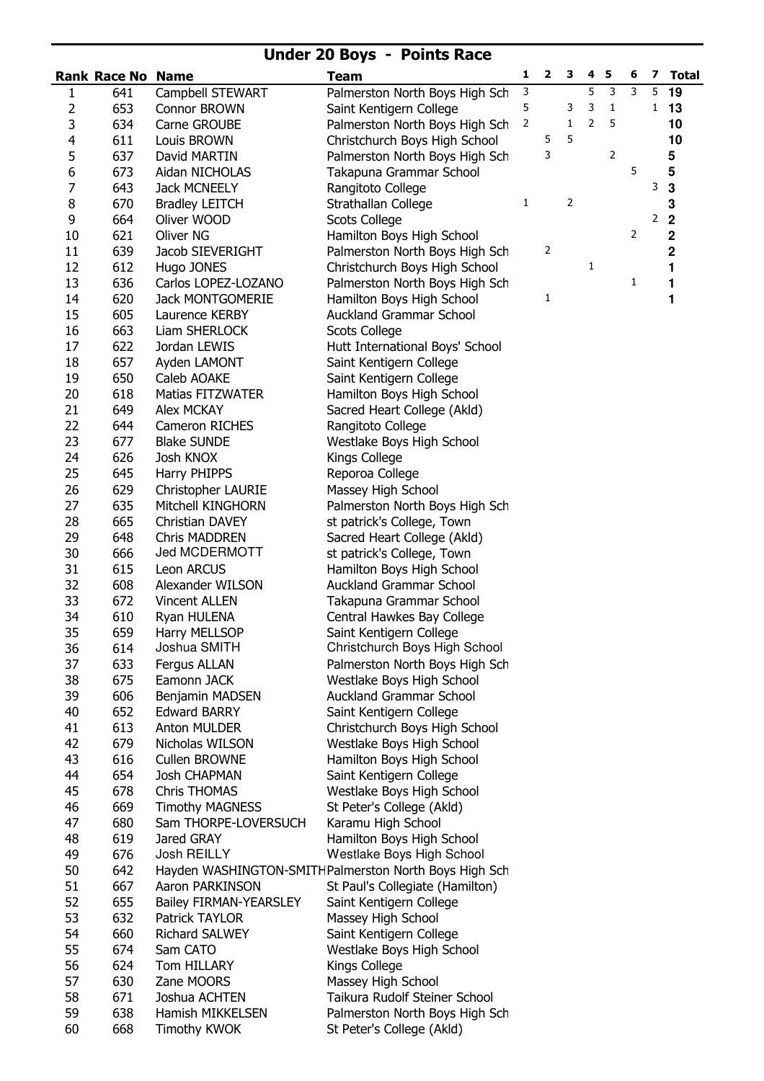## Under 20 Boys - Points Race

|                | <b>Rank Race No Name</b> |                                | <b>Team</b>                                                 | 1 | $\mathbf{2}$ | 3 | 4 | 5              | 6 | 7            | <b>Total</b> |
|----------------|--------------------------|--------------------------------|-------------------------------------------------------------|---|--------------|---|---|----------------|---|--------------|--------------|
| 1              | 641                      | Campbell STEWART               | Palmerston North Boys High Sch                              | 3 |              |   | 5 | 3              | 3 | 5            | 19           |
| 2              | 653                      | Connor BROWN                   | Saint Kentigern College                                     | 5 |              | 3 | 3 | 1              |   | $\mathbf{1}$ | 13           |
| 3              | 634                      | Carne GROUBE                   | Palmerston North Boys High Sch                              | 2 |              | 1 | 2 | 5              |   |              | 10           |
| 4              | 611                      | Louis BROWN                    | Christchurch Boys High School                               |   | 5            | 5 |   |                |   |              | 10           |
| 5              | 637                      | David MARTIN                   | Palmerston North Boys High Sch                              |   | 3            |   |   | $\mathsf{2}\,$ |   |              | 5            |
| 6              | 673                      | Aidan NICHOLAS                 | Takapuna Grammar School                                     |   |              |   |   |                | 5 |              | 5            |
| $\overline{7}$ | 643                      | <b>Jack MCNEELY</b>            | Rangitoto College                                           |   |              |   |   |                |   | 3            | 3            |
| 8              | 670                      | <b>Bradley LEITCH</b>          | Strathallan College                                         | 1 |              | 2 |   |                |   |              | 3            |
| 9              | 664                      | Oliver WOOD                    | <b>Scots College</b>                                        |   |              |   |   |                |   | 2            | $\mathbf 2$  |
| 10             | 621                      | <b>Oliver NG</b>               | Hamilton Boys High School                                   |   |              |   |   |                | 2 |              | $\mathbf 2$  |
| 11             | 639                      | Jacob SIEVERIGHT               | Palmerston North Boys High Sch                              |   | 2            |   |   |                |   |              | $\mathbf 2$  |
| 12             | 612                      | Hugo JONES                     | Christchurch Boys High School                               |   |              |   | 1 |                |   |              | 1            |
| 13             | 636                      | Carlos LOPEZ-LOZANO            | Palmerston North Boys High Sch                              |   |              |   |   |                | 1 |              | 1            |
| 14             | 620                      | Jack MONTGOMERIE               | Hamilton Boys High School                                   |   | 1            |   |   |                |   |              | 1            |
| 15             | 605                      | Laurence KERBY                 | <b>Auckland Grammar School</b>                              |   |              |   |   |                |   |              |              |
| 16             | 663                      | Liam SHERLOCK                  | <b>Scots College</b>                                        |   |              |   |   |                |   |              |              |
| 17             | 622                      | Jordan LEWIS                   | Hutt International Boys' School                             |   |              |   |   |                |   |              |              |
| 18             | 657                      | Ayden LAMONT                   | Saint Kentigern College                                     |   |              |   |   |                |   |              |              |
| 19             | 650                      | Caleb AOAKE                    | Saint Kentigern College                                     |   |              |   |   |                |   |              |              |
| 20             | 618                      | <b>Matias FITZWATER</b>        | Hamilton Boys High School                                   |   |              |   |   |                |   |              |              |
| 21             | 649                      | Alex MCKAY                     | Sacred Heart College (Akld)                                 |   |              |   |   |                |   |              |              |
| 22             | 644                      | Cameron RICHES                 | Rangitoto College                                           |   |              |   |   |                |   |              |              |
| 23             | 677                      | <b>Blake SUNDE</b>             | Westlake Boys High School                                   |   |              |   |   |                |   |              |              |
| 24             | 626                      | Josh KNOX                      | Kings College                                               |   |              |   |   |                |   |              |              |
| 25             | 645                      | Harry PHIPPS                   | Reporoa College                                             |   |              |   |   |                |   |              |              |
| 26             | 629                      | Christopher LAURIE             | Massey High School                                          |   |              |   |   |                |   |              |              |
| 27             | 635                      | Mitchell KINGHORN              | Palmerston North Boys High Sch                              |   |              |   |   |                |   |              |              |
| 28             | 665                      | Christian DAVEY                | st patrick's College, Town                                  |   |              |   |   |                |   |              |              |
| 29             | 648                      | <b>Chris MADDREN</b>           | Sacred Heart College (Akld)                                 |   |              |   |   |                |   |              |              |
| 30             | 666                      | Jed MCDERMOTT                  | st patrick's College, Town                                  |   |              |   |   |                |   |              |              |
| 31<br>32       | 615<br>608               | Leon ARCUS<br>Alexander WILSON | Hamilton Boys High School<br><b>Auckland Grammar School</b> |   |              |   |   |                |   |              |              |
| 33             | 672                      | Vincent ALLEN                  | Takapuna Grammar School                                     |   |              |   |   |                |   |              |              |
| 34             | 610                      | Ryan HULENA                    | Central Hawkes Bay College                                  |   |              |   |   |                |   |              |              |
| 35             | 659                      | Harry MELLSOP                  | Saint Kentigern College                                     |   |              |   |   |                |   |              |              |
| 36             | 614                      | Joshua SMITH                   | Christchurch Boys High School                               |   |              |   |   |                |   |              |              |
| 37             | 633                      | Fergus ALLAN                   | Palmerston North Boys High Sch                              |   |              |   |   |                |   |              |              |
| 38             | 675                      | Eamonn JACK                    | Westlake Boys High School                                   |   |              |   |   |                |   |              |              |
| 39             | 606                      | Benjamin MADSEN                | <b>Auckland Grammar School</b>                              |   |              |   |   |                |   |              |              |
| 40             | 652                      | <b>Edward BARRY</b>            | Saint Kentigern College                                     |   |              |   |   |                |   |              |              |
| 41             | 613                      | Anton MULDER                   | Christchurch Boys High School                               |   |              |   |   |                |   |              |              |
| 42             | 679                      | Nicholas WILSON                | Westlake Boys High School                                   |   |              |   |   |                |   |              |              |
| 43             | 616                      | Cullen BROWNE                  | Hamilton Boys High School                                   |   |              |   |   |                |   |              |              |
| 44             | 654                      | <b>Josh CHAPMAN</b>            | Saint Kentigern College                                     |   |              |   |   |                |   |              |              |
| 45             | 678                      | Chris THOMAS                   | Westlake Boys High School                                   |   |              |   |   |                |   |              |              |
| 46             | 669                      | <b>Timothy MAGNESS</b>         | St Peter's College (Akld)                                   |   |              |   |   |                |   |              |              |
| 47             | 680                      | Sam THORPE-LOVERSUCH           | Karamu High School                                          |   |              |   |   |                |   |              |              |
| 48             | 619                      | Jared GRAY                     | Hamilton Boys High School                                   |   |              |   |   |                |   |              |              |
| 49             | 676                      | Josh REILLY                    | Westlake Boys High School                                   |   |              |   |   |                |   |              |              |
| 50             | 642                      |                                | Hayden WASHINGTON-SMITHPalmerston North Boys High Sch       |   |              |   |   |                |   |              |              |
| 51             | 667                      | Aaron PARKINSON                | St Paul's Collegiate (Hamilton)                             |   |              |   |   |                |   |              |              |
| 52             | 655                      | <b>Bailey FIRMAN-YEARSLEY</b>  | Saint Kentigern College                                     |   |              |   |   |                |   |              |              |
| 53             | 632                      | Patrick TAYLOR                 | Massey High School                                          |   |              |   |   |                |   |              |              |
| 54             | 660                      | Richard SALWEY                 | Saint Kentigern College                                     |   |              |   |   |                |   |              |              |
| 55             | 674                      | Sam CATO                       | Westlake Boys High School                                   |   |              |   |   |                |   |              |              |
| 56             | 624                      | Tom HILLARY                    | Kings College                                               |   |              |   |   |                |   |              |              |
| 57             | 630                      | Zane MOORS                     | Massey High School                                          |   |              |   |   |                |   |              |              |
| 58             | 671                      | Joshua ACHTEN                  | Taikura Rudolf Steiner School                               |   |              |   |   |                |   |              |              |
| 59             | 638                      | Hamish MIKKELSEN               | Palmerston North Boys High Sch                              |   |              |   |   |                |   |              |              |
| 60             | 668                      | <b>Timothy KWOK</b>            | St Peter's College (Akld)                                   |   |              |   |   |                |   |              |              |